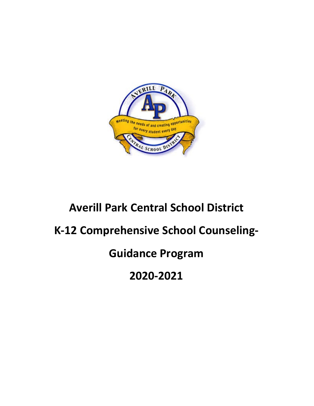

# **Averill Park Central School District**

# **K-12 Comprehensive School Counseling-**

# **Guidance Program**

**2020-2021**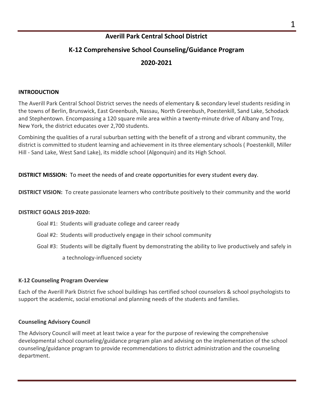# **Averill Park Central School District**

# **K-12 Comprehensive School Counseling/Guidance Program**

# **2020-2021**

#### **INTRODUCTION**

The Averill Park Central School District serves the needs of elementary & secondary level students residing in the towns of Berlin, Brunswick, East Greenbush, Nassau, North Greenbush, Poestenkill, Sand Lake, Schodack and Stephentown. Encompassing a 120 square mile area within a twenty-minute drive of Albany and Troy, New York, the district educates over 2,700 students.

Combining the qualities of a rural suburban setting with the benefit of a strong and vibrant community, the district is committed to student learning and achievement in its three elementary schools ( Poestenkill, Miller Hill - Sand Lake, West Sand Lake), its middle school (Algonquin) and its High School.

**DISTRICT MISSION:** To meet the needs of and create opportunities for every student every day.

**DISTRICT VISION:** To create passionate learners who contribute positively to their community and the world

#### **DISTRICT GOALS 2019-2020:**

- Goal #1: Students will graduate college and career ready
- Goal #2: Students will productively engage in their school community
- Goal #3: Students will be digitally fluent by demonstrating the ability to live productively and safely in a technology-influenced society

#### **K-12 Counseling Program Overview**

Each of the Averill Park District five school buildings has certified school counselors & school psychologists to support the academic, social emotional and planning needs of the students and families.

#### **Counseling Advisory Council**

The Advisory Council will meet at least twice a year for the purpose of reviewing the comprehensive developmental school counseling/guidance program plan and advising on the implementation of the school counseling/guidance program to provide recommendations to district administration and the counseling department.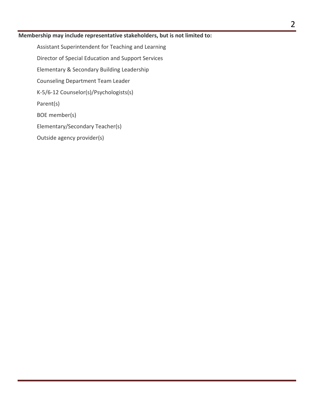#### **Membership may include representative stakeholders, but is not limited to:**

Assistant Superintendent for Teaching and Learning Director of Special Education and Support Services Elementary & Secondary Building Leadership Counseling Department Team Leader K-5/6-12 Counselor(s)/Psychologists(s) Parent(s) BOE member(s) Elementary/Secondary Teacher(s) Outside agency provider(s)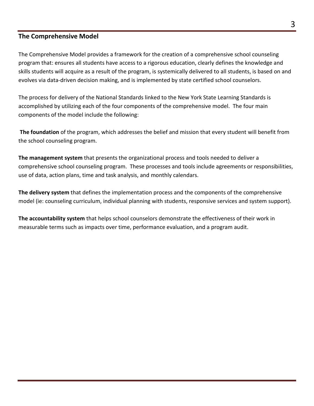# **The Comprehensive Model**

The Comprehensive Model provides a framework for the creation of a comprehensive school counseling program that: ensures all students have access to a rigorous education, clearly defines the knowledge and skills students will acquire as a result of the program, is systemically delivered to all students, is based on and evolves via data-driven decision making, and is implemented by state certified school counselors.

The process for delivery of the National Standards linked to the New York State Learning Standards is accomplished by utilizing each of the four components of the comprehensive model. The four main components of the model include the following:

**The foundation** of the program, which addresses the belief and mission that every student will benefit from the school counseling program.

**The management system** that presents the organizational process and tools needed to deliver a comprehensive school counseling program. These processes and tools include agreements or responsibilities, use of data, action plans, time and task analysis, and monthly calendars.

**The delivery system** that defines the implementation process and the components of the comprehensive model (ie: counseling curriculum, individual planning with students, responsive services and system support).

**The accountability system** that helps school counselors demonstrate the effectiveness of their work in measurable terms such as impacts over time, performance evaluation, and a program audit.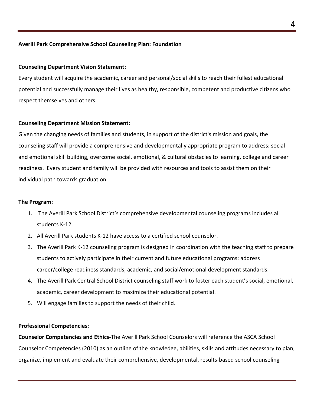#### **Averill Park Comprehensive School Counseling Plan: Foundation**

#### **Counseling Department Vision Statement:**

Every student will acquire the academic, career and personal/social skills to reach their fullest educational potential and successfully manage their lives as healthy, responsible, competent and productive citizens who respect themselves and others.

#### **Counseling Department Mission Statement:**

Given the changing needs of families and students, in support of the district's mission and goals, the counseling staff will provide a comprehensive and developmentally appropriate program to address: social and emotional skill building, overcome social, emotional, & cultural obstacles to learning, college and career readiness. Every student and family will be provided with resources and tools to assist them on their individual path towards graduation.

#### **The Program:**

- 1. The Averill Park School District's comprehensive developmental counseling programs includes all students K-12.
- 2. All Averill Park students K-12 have access to a certified school counselor.
- 3. The Averill Park K-12 counseling program is designed in coordination with the teaching staff to prepare students to actively participate in their current and future educational programs; address career/college readiness standards, academic, and social/emotional development standards.
- 4. The Averill Park Central School District counseling staff work to foster each student's social, emotional, academic, career development to maximize their educational potential.
- 5. Will engage families to support the needs of their child.

#### **Professional Competencies:**

**Counselor Competencies and Ethics-**The Averill Park School Counselors will reference the ASCA School Counselor Competencies (2010) as an outline of the knowledge, abilities, skills and attitudes necessary to plan, organize, implement and evaluate their comprehensive, developmental, results-based school counseling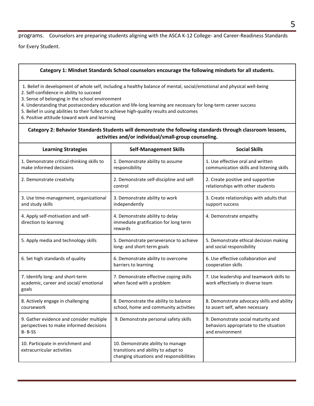programs. Counselors are preparing students aligning with the ASCA K-12 College- and Career-Readiness Standards

for Every Student.

#### **Category 1: Mindset Standards School counselors encourage the following mindsets for all students.**

- 1. Belief in development of whole self, including a healthy balance of mental, social/emotional and physical well-being
- 2. Self-confidence in ability to succeed
- 3. Sense of belonging in the school environment
- 4. Understanding that postsecondary education and life-long learning are necessary for long-term career success
- 5. Belief in using abilities to their fullest to achieve high-quality results and outcomes
- 6. Positive attitude toward work and learning

#### **Category 2: Behavior Standards Students will demonstrate the following standards through classroom lessons, activities and/or individual/small-group counseling.**

| <b>Learning Strategies</b>                                                                          | <b>Self-Management Skills</b>                                                                                        | <b>Social Skills</b>                                                                            |
|-----------------------------------------------------------------------------------------------------|----------------------------------------------------------------------------------------------------------------------|-------------------------------------------------------------------------------------------------|
| 1. Demonstrate critical-thinking skills to<br>make informed decisions                               | 1. Demonstrate ability to assume<br>responsibility                                                                   | 1. Use effective oral and written<br>communication skills and listening skills                  |
| 2. Demonstrate creativity                                                                           | 2. Demonstrate self-discipline and self-<br>control                                                                  | 2. Create positive and supportive<br>relationships with other students                          |
| 3. Use time-management, organizational<br>and study skills                                          | 3. Demonstrate ability to work<br>independently                                                                      | 3. Create relationships with adults that<br>support success                                     |
| 4. Apply self-motivation and self-<br>direction to learning                                         | 4. Demonstrate ability to delay<br>immediate gratification for long term<br>rewards                                  | 4. Demonstrate empathy                                                                          |
| 5. Apply media and technology skills                                                                | 5. Demonstrate perseverance to achieve<br>long- and short-term goals                                                 | 5. Demonstrate ethical decision making<br>and social responsibility                             |
| 6. Set high standards of quality                                                                    | 6. Demonstrate ability to overcome<br>barriers to learning                                                           | 6. Use effective collaboration and<br>cooperation skills                                        |
| 7. Identify long- and short-term<br>academic, career and social/ emotional<br>goals                 | 7. Demonstrate effective coping skills<br>when faced with a problem                                                  | 7. Use leadership and teamwork skills to<br>work effectively in diverse team                    |
| 8. Actively engage in challenging<br>coursework                                                     | 8. Demonstrate the ability to balance<br>school, home and community activities                                       | 8. Demonstrate advocacy skills and ability<br>to assert self, when necessary                    |
| 9. Gather evidence and consider multiple<br>perspectives to make informed decisions<br>$B - B - SS$ | 9. Demonstrate personal safety skills                                                                                | 9. Demonstrate social maturity and<br>behaviors appropriate to the situation<br>and environment |
| 10. Participate in enrichment and<br>extracurricular activities                                     | 10. Demonstrate ability to manage<br>transitions and ability to adapt to<br>changing situations and responsibilities |                                                                                                 |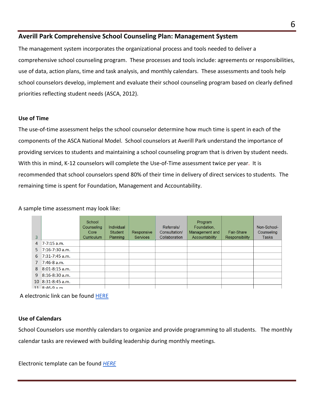### **Averill Park Comprehensive School Counseling Plan: Management System**

The management system incorporates the organizational process and tools needed to deliver a comprehensive school counseling program. These processes and tools include: agreements or responsibilities, use of data, action plans, time and task analysis, and monthly calendars. These assessments and tools help school counselors develop, implement and evaluate their school counseling program based on clearly defined priorities reflecting student needs (ASCA, 2012).

#### **Use of Time**

The use-of-time assessment helps the school counselor determine how much time is spent in each of the components of the ASCA National Model. School counselors at Averill Park understand the importance of providing services to students and maintaining a school counseling program that is driven by student needs. With this in mind, K-12 counselors will complete the Use-of-Time assessment twice per year. It is recommended that school counselors spend 80% of their time in delivery of direct services to students. The remaining time is spent for Foundation, Management and Accountability.

A sample time assessment may look like:

| $\overline{3}$  |                              | School<br>Counseling<br>Core<br>Curriculum | <b>Individual</b><br>Student<br><b>Planning</b> | Responsive<br><b>Services</b> | Referrals/<br>Consultation/<br>Collaboration | Program<br>Foundation,<br>Management and<br>Accountability | Fair-Share<br><b>Responsibility</b> | Non-School-<br>Counseling<br><b>Tasks</b> |
|-----------------|------------------------------|--------------------------------------------|-------------------------------------------------|-------------------------------|----------------------------------------------|------------------------------------------------------------|-------------------------------------|-------------------------------------------|
| $\overline{4}$  | 7-7:15 a.m.                  |                                            |                                                 |                               |                                              |                                                            |                                     |                                           |
| 5.              | $7:16-7:30$ a.m.             |                                            |                                                 |                               |                                              |                                                            |                                     |                                           |
| 6               | 7:31-7:45 a.m.               |                                            |                                                 |                               |                                              |                                                            |                                     |                                           |
| $\mathbf{7}$    | $7:46-8$ a.m.                |                                            |                                                 |                               |                                              |                                                            |                                     |                                           |
| 8               | 8:01-8:15 a.m.               |                                            |                                                 |                               |                                              |                                                            |                                     |                                           |
| 9               | 8:16-8:30 a.m.               |                                            |                                                 |                               |                                              |                                                            |                                     |                                           |
| 10 <sup>°</sup> | 8:31-8:45 a.m.               |                                            |                                                 |                               |                                              |                                                            |                                     |                                           |
|                 | $11 \overline{8.46} - 9$ a m |                                            |                                                 |                               |                                              |                                                            |                                     |                                           |

A electronic link can be found [HERE](https://www.schoolcounselor.org/asca/media/asca/ASCA%20National%20Model%20Templates/Useoftimeassesment-daily.xlsx)

#### **Use of Calendars**

School Counselors use monthly calendars to organize and provide programming to all students. The monthly calendar tasks are reviewed with building leadership during monthly meetings.

Electronic template can be found *[HERE](https://www.schoolcounselor.org/asca/media/asca/ASCA%20National%20Model%20Templates/AnnualCalendar.xlsx)*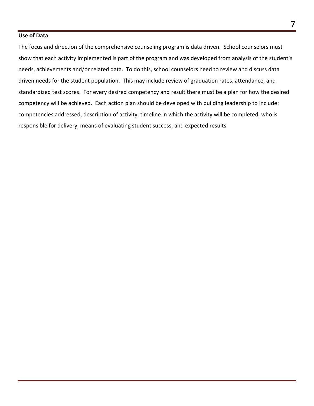#### **Use of Data**

The focus and direction of the comprehensive counseling program is data driven. School counselors must show that each activity implemented is part of the program and was developed from analysis of the student's needs, achievements and/or related data. To do this, school counselors need to review and discuss data driven needs for the student population. This may include review of graduation rates, attendance, and standardized test scores. For every desired competency and result there must be a plan for how the desired competency will be achieved. Each action plan should be developed with building leadership to include: competencies addressed, description of activity, timeline in which the activity will be completed, who is responsible for delivery, means of evaluating student success, and expected results.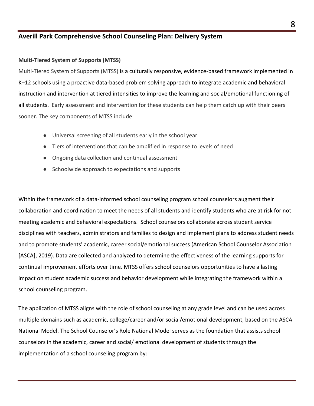# **Averill Park Comprehensive School Counseling Plan: Delivery System**

#### **Multi-Tiered System of Supports (MTSS)**

Multi-Tiered System of Supports (MTSS) is a culturally responsive, evidence-based framework implemented in K–12 schools using a proactive data-based problem solving approach to integrate academic and behavioral instruction and intervention at tiered intensities to improve the learning and social/emotional functioning of all students. Early assessment and intervention for these students can help them catch up with their peers sooner. The key components of MTSS include:

- Universal screening of all students early in the school year
- Tiers of interventions that can be amplified in response to levels of need
- Ongoing data collection and continual assessment
- Schoolwide approach to expectations and supports

Within the framework of a data-informed school counseling program school counselors augment their collaboration and coordination to meet the needs of all students and identify students who are at risk for not meeting academic and behavioral expectations. School counselors collaborate across student service disciplines with teachers, administrators and families to design and implement plans to address student needs and to promote students' academic, career social/emotional success (American School Counselor Association [ASCA], 2019). Data are collected and analyzed to determine the effectiveness of the learning supports for continual improvement efforts over time. MTSS offers school counselors opportunities to have a lasting impact on student academic success and behavior development while integrating the framework within a school counseling program.

The application of MTSS aligns with the role of school counseling at any grade level and can be used across multiple domains such as academic, college/career and/or social/emotional development, based on the ASCA National Model. The School Counselor's Role National Model serves as the foundation that assists school counselors in the academic, career and social/ emotional development of students through the implementation of a school counseling program by: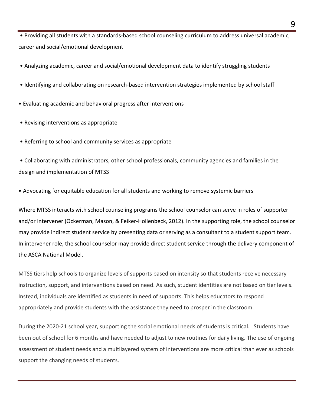• Providing all students with a standards-based school counseling curriculum to address universal academic, career and social/emotional development

• Analyzing academic, career and social/emotional development data to identify struggling students

- Identifying and collaborating on research-based intervention strategies implemented by school staff
- Evaluating academic and behavioral progress after interventions
- Revising interventions as appropriate
- Referring to school and community services as appropriate

• Collaborating with administrators, other school professionals, community agencies and families in the design and implementation of MTSS

• Advocating for equitable education for all students and working to remove systemic barriers

Where MTSS interacts with school counseling programs the school counselor can serve in roles of supporter and/or intervener (Ockerman, Mason, & Feiker-Hollenbeck, 2012). In the supporting role, the school counselor may provide indirect student service by presenting data or serving as a consultant to a student support team. In intervener role, the school counselor may provide direct student service through the delivery component of the ASCA National Model.

MTSS tiers help schools to organize levels of supports based on intensity so that students receive necessary instruction, support, and interventions based on need. As such, student identities are not based on tier levels. Instead, individuals are identified as students in need of supports. This helps educators to respond appropriately and provide students with the assistance they need to prosper in the classroom.

During the 2020-21 school year, supporting the social emotional needs of students is critical. Students have been out of school for 6 months and have needed to adjust to new routines for daily living. The use of ongoing assessment of student needs and a multilayered system of interventions are more critical than ever as schools support the changing needs of students.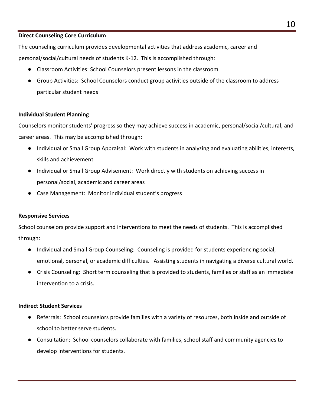#### **Direct Counseling Core Curriculum**

The counseling curriculum provides developmental activities that address academic, career and personal/social/cultural needs of students K-12. This is accomplished through:

- Classroom Activities: School Counselors present lessons in the classroom
- Group Activities: School Counselors conduct group activities outside of the classroom to address particular student needs

#### **Individual Student Planning**

Counselors monitor students' progress so they may achieve success in academic, personal/social/cultural, and career areas. This may be accomplished through:

- Individual or Small Group Appraisal: Work with students in analyzing and evaluating abilities, interests, skills and achievement
- Individual or Small Group Advisement: Work directly with students on achieving success in personal/social, academic and career areas
- Case Management: Monitor individual student's progress

#### **Responsive Services**

School counselors provide support and interventions to meet the needs of students. This is accomplished through:

- Individual and Small Group Counseling: Counseling is provided for students experiencing social, emotional, personal, or academic difficulties. Assisting students in navigating a diverse cultural world.
- Crisis Counseling: Short term counseling that is provided to students, families or staff as an immediate intervention to a crisis.

#### **Indirect Student Services**

- Referrals: School counselors provide families with a variety of resources, both inside and outside of school to better serve students.
- Consultation: School counselors collaborate with families, school staff and community agencies to develop interventions for students.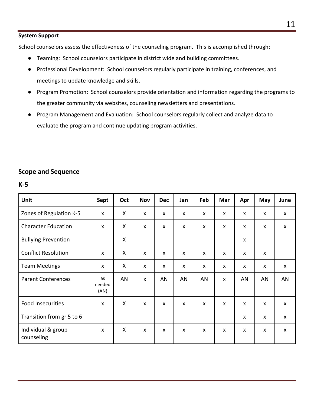#### **System Support**

School counselors assess the effectiveness of the counseling program. This is accomplished through:

- Teaming: School counselors participate in district wide and building committees.
- Professional Development: School counselors regularly participate in training, conferences, and meetings to update knowledge and skills.
- Program Promotion: School counselors provide orientation and information regarding the programs to the greater community via websites, counseling newsletters and presentations.
- Program Management and Evaluation: School counselors regularly collect and analyze data to evaluate the program and continue updating program activities.

### **Scope and Sequence**

#### **K-5**

| Unit                             | Sept                 | Oct | <b>Nov</b>   | <b>Dec</b> | Jan | Feb | Mar                       | Apr | May | June |
|----------------------------------|----------------------|-----|--------------|------------|-----|-----|---------------------------|-----|-----|------|
| Zones of Regulation K-5          | X                    | X   | X            | X          | X   | X   | X                         | X   | X   | X    |
| <b>Character Education</b>       | X                    | X   | X            | X          | X   | X   | X                         | X   | X   | X    |
| <b>Bullying Prevention</b>       |                      | X   |              |            |     |     |                           | X   |     |      |
| <b>Conflict Resolution</b>       | X                    | X   | $\mathsf{x}$ | X          | X   | X   | $\boldsymbol{\mathsf{x}}$ | X   | X   |      |
| <b>Team Meetings</b>             | X                    | X   | X            | X          | X   | X   | X                         | X   | X   | X    |
| <b>Parent Conferences</b>        | as<br>needed<br>(AN) | AN  | X            | AN         | AN  | AN  | $\mathsf{x}$              | AN  | AN  | AN   |
| <b>Food Insecurities</b>         | X                    | X   | X            | X          | X   | X   | X                         | X   | X   | X    |
| Transition from gr 5 to 6        |                      |     |              |            |     |     |                           | X   | X   | X    |
| Individual & group<br>counseling | X                    | X   | X            | X          | X   | X   | $\pmb{\times}$            | X   | X   | X    |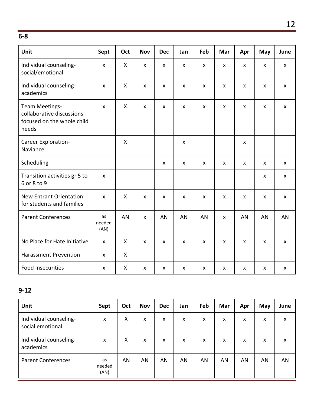**6-8**

| <b>Unit</b>                                                                               | Sept                 | Oct          | <b>Nov</b>   | <b>Dec</b>                | Jan                       | Feb                       | Mar                       | Apr                | May                       | June               |
|-------------------------------------------------------------------------------------------|----------------------|--------------|--------------|---------------------------|---------------------------|---------------------------|---------------------------|--------------------|---------------------------|--------------------|
| Individual counseling-<br>social/emotional                                                | $\pmb{\times}$       | X            | X            | $\boldsymbol{\mathsf{x}}$ | $\boldsymbol{\mathsf{x}}$ | $\mathsf{x}$              | $\pmb{\mathsf{X}}$        | $\mathsf{x}$       | $\pmb{\mathsf{X}}$        | $\mathsf{x}$       |
| Individual counseling-<br>academics                                                       | $\pmb{\mathsf{X}}$   | $\mathsf{X}$ | X            | $\mathsf{x}$              | $\mathsf{x}$              | $\boldsymbol{\mathsf{x}}$ | $\mathsf{x}$              | $\mathsf{x}$       | $\mathsf{x}$              | $\mathsf{x}$       |
| <b>Team Meetings-</b><br>collaborative discussions<br>focused on the whole child<br>needs | X                    | X            | X            | $\boldsymbol{\mathsf{x}}$ | $\boldsymbol{\mathsf{x}}$ | $\boldsymbol{\mathsf{x}}$ | $\pmb{\mathsf{X}}$        | $\pmb{\mathsf{X}}$ | $\pmb{\mathsf{X}}$        | $\mathsf{x}$       |
| Career Exploration-<br>Naviance                                                           |                      | $\mathsf{X}$ |              |                           | $\pmb{\mathsf{X}}$        |                           |                           | $\mathsf{x}$       |                           |                    |
| Scheduling                                                                                |                      |              |              | $\mathsf{x}$              | $\mathsf{x}$              | $\mathsf{x}$              | $\mathsf{x}$              | $\mathsf{x}$       | $\mathsf{x}$              | $\mathsf{x}$       |
| Transition activities gr 5 to<br>6 or 8 to 9                                              | X                    |              |              |                           |                           |                           |                           |                    | X                         | $\mathsf{x}$       |
| <b>New Entrant Orientation</b><br>for students and families                               | $\mathsf{x}$         | $\mathsf{X}$ | X            | X                         | $\boldsymbol{\mathsf{x}}$ | $\boldsymbol{\mathsf{x}}$ | $\boldsymbol{\mathsf{x}}$ | $\mathsf{x}$       | $\boldsymbol{\mathsf{x}}$ | $\mathsf{x}$       |
| <b>Parent Conferences</b>                                                                 | as<br>needed<br>(AN) | AN           | X            | AN                        | AN                        | AN                        | $\mathsf{x}$              | AN                 | AN                        | AN                 |
| No Place for Hate Initiative                                                              | $\mathsf{x}$         | X            | $\mathsf{x}$ | $\mathsf{x}$              | $\boldsymbol{\mathsf{x}}$ | $\mathsf{x}$              | $\pmb{\mathsf{X}}$        | $\pmb{\mathsf{X}}$ | $\mathsf{x}$              | $\mathsf{x}$       |
| <b>Harassment Prevention</b>                                                              | X                    | X            |              |                           |                           |                           |                           |                    |                           |                    |
| <b>Food Insecurities</b>                                                                  | X                    | Χ            | X            | X                         | X                         | X                         | X                         | X                  | X                         | $\pmb{\mathsf{x}}$ |

# **9-12**

| Unit                                       | Sept                 | Oct | <b>Nov</b> | <b>Dec</b> | Jan | Feb | Mar                       | Apr | May | June |
|--------------------------------------------|----------------------|-----|------------|------------|-----|-----|---------------------------|-----|-----|------|
| Individual counseling-<br>social emotional | X                    | Χ   | X          | x          | x   | X   | x                         | x   | X   | X    |
| Individual counseling-<br>academics        | X                    | X   | X          | x          | X   | X   | $\boldsymbol{\mathsf{X}}$ | X   | X   | X    |
| <b>Parent Conferences</b>                  | as<br>needed<br>(AN) | AN  | AN         | AN         | AN  | AN  | AN                        | AN  | AN  | AN   |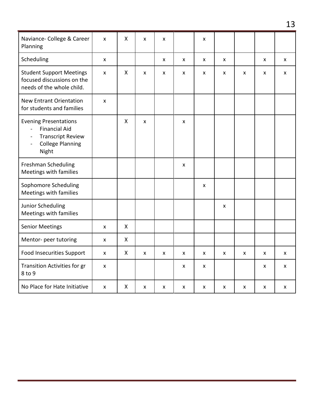| Naviance- College & Career<br>Planning                                                                                                                   | X              | X            | X | X |   | X |   |   |   |   |
|----------------------------------------------------------------------------------------------------------------------------------------------------------|----------------|--------------|---|---|---|---|---|---|---|---|
| Scheduling                                                                                                                                               | X              |              |   | X | X | X | X |   | X | X |
| <b>Student Support Meetings</b><br>focused discussions on the<br>needs of the whole child.                                                               | X              | $\mathsf{X}$ | X | X | X | X | X | X | X | X |
| <b>New Entrant Orientation</b><br>for students and families                                                                                              | $\pmb{\times}$ |              |   |   |   |   |   |   |   |   |
| <b>Evening Presentations</b><br><b>Financial Aid</b><br><b>Transcript Review</b><br>$\blacksquare$<br><b>College Planning</b><br>$\blacksquare$<br>Night |                | X            | X |   | X |   |   |   |   |   |
| <b>Freshman Scheduling</b><br>Meetings with families                                                                                                     |                |              |   |   | X |   |   |   |   |   |
| Sophomore Scheduling<br>Meetings with families                                                                                                           |                |              |   |   |   | X |   |   |   |   |
| Junior Scheduling<br>Meetings with families                                                                                                              |                |              |   |   |   |   | X |   |   |   |
| <b>Senior Meetings</b>                                                                                                                                   | X              | X            |   |   |   |   |   |   |   |   |
| Mentor- peer tutoring                                                                                                                                    | X              | $\mathsf{X}$ |   |   |   |   |   |   |   |   |
| <b>Food Insecurities Support</b>                                                                                                                         | X              | X            | X | X | X | X | X | X | X | X |
| <b>Transition Activities for gr</b><br>8 to 9                                                                                                            | X              |              |   |   | X | X |   |   | X | X |
| No Place for Hate Initiative                                                                                                                             | X              | X            | X | X | X | X | X | X | X | X |